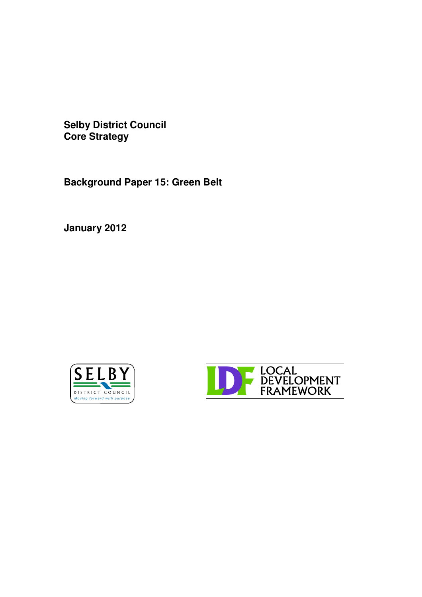**Selby District Council Core Strategy**

**Background Paper 15: Green Belt**

**January 2012**



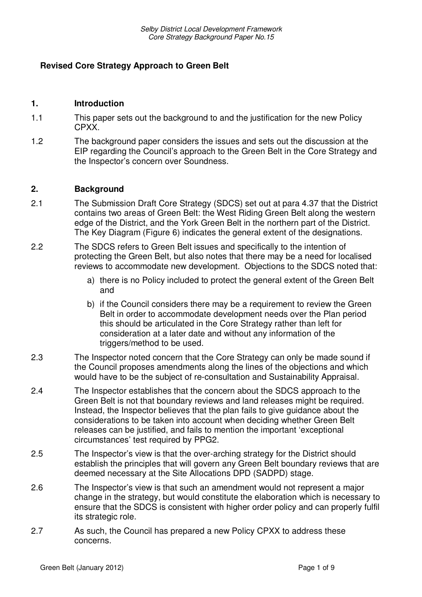# **Revised Core Strategy Approach to Green Belt**

#### **1. Introduction**

- 1.1 This paper sets out the background to and the justification for the new Policy CPXX.
- 1.2 The background paper considers the issues and sets out the discussion at the EIP regarding the Council's approach to the Green Belt in the Core Strategy and the Inspector's concern over Soundness.

#### **2. Background**

- 2.1 The Submission Draft Core Strategy (SDCS) set out at para 4.37 that the District contains two areas of Green Belt: the West Riding Green Belt along the western edge of the District, and the York Green Belt in the northern part of the District. The Key Diagram (Figure 6) indicates the general extent of the designations.
- 2.2 The SDCS refers to Green Belt issues and specifically to the intention of protecting the Green Belt, but also notes that there may be a need for localised reviews to accommodate new development. Objections to the SDCS noted that:
	- a) there is no Policy included to protect the general extent of the Green Belt and
	- b) if the Council considers there may be a requirement to review the Green Belt in order to accommodate development needs over the Plan period this should be articulated in the Core Strategy rather than left for consideration at a later date and without any information of the triggers/method to be used.
- 2.3 The Inspector noted concern that the Core Strategy can only be made sound if the Council proposes amendments along the lines of the objections and which would have to be the subject of re-consultation and Sustainability Appraisal.
- 2.4 The Inspector establishes that the concern about the SDCS approach to the Green Belt is not that boundary reviews and land releases might be required. Instead, the Inspector believes that the plan fails to give guidance about the considerations to be taken into account when deciding whether Green Belt releases can be justified, and fails to mention the important 'exceptional circumstances' test required by PPG2.
- 2.5 The Inspector's view is that the over-arching strategy for the District should establish the principles that will govern any Green Belt boundary reviews that are deemed necessary at the Site Allocations DPD (SADPD) stage.
- 2.6 The Inspector's view is that such an amendment would not represent a major change in the strategy, but would constitute the elaboration which is necessary to ensure that the SDCS is consistent with higher order policy and can properly fulfil its strategic role.
- 2.7 As such, the Council has prepared a new Policy CPXX to address these concerns.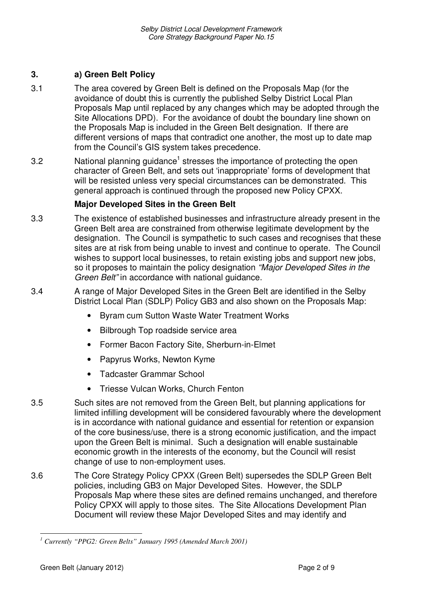# **3. a) Green Belt Policy**

- 3.1 The area covered by Green Belt is defined on the Proposals Map (for the avoidance of doubt this is currently the published Selby District Local Plan Proposals Map until replaced by any changes which may be adopted through the Site Allocations DPD). For the avoidance of doubt the boundary line shown on the Proposals Map is included in the Green Belt designation. If there are different versions of maps that contradict one another, the most up to date map from the Council's GIS system takes precedence.
- 3.2 Subsetstand Manning guidance<sup>1</sup> stresses the importance of protecting the open character of Green Belt, and sets out 'inappropriate' forms of development that will be resisted unless very special circumstances can be demonstrated. This general approach is continued through the proposed new Policy CPXX.

### **Major Developed Sites in the Green Belt**

- 3.3 The existence of established businesses and infrastructure already present in the Green Belt area are constrained from otherwise legitimate development by the designation. The Council is sympathetic to such cases and recognises that these sites are at risk from being unable to invest and continue to operate. The Council wishes to support local businesses, to retain existing jobs and support new jobs, so it proposes to maintain the policy designation *"Major Developed Sites in the Green Belt"* in accordance with national guidance.
- 3.4 A range of Major Developed Sites in the Green Belt are identified in the Selby District Local Plan (SDLP) Policy GB3 and also shown on the Proposals Map:
	- Byram cum Sutton Waste Water Treatment Works
	- Bilbrough Top roadside service area
	- Former Bacon Factory Site, Sherburn-in-Elmet
	- Papyrus Works, Newton Kyme
	- Tadcaster Grammar School
	- Triesse Vulcan Works, Church Fenton
- 3.5 Such sites are not removed from the Green Belt, but planning applications for limited infilling development will be considered favourably where the development is in accordance with national guidance and essential for retention or expansion of the core business/use, there is a strong economic justification, and the impact upon the Green Belt is minimal. Such a designation will enable sustainable economic growth in the interests of the economy, but the Council will resist change of use to non-employment uses.
- 3.6 The Core Strategy Policy CPXX (Green Belt) supersedes the SDLP Green Belt policies, including GB3 on Major Developed Sites. However, the SDLP Proposals Map where these sites are defined remains unchanged, and therefore Policy CPXX will apply to those sites. The Site Allocations Development Plan Document will review these Major Developed Sites and may identify and

*<sup>1</sup> Currently "PPG2: Green Belts" January 1995 (Amended March 2001)*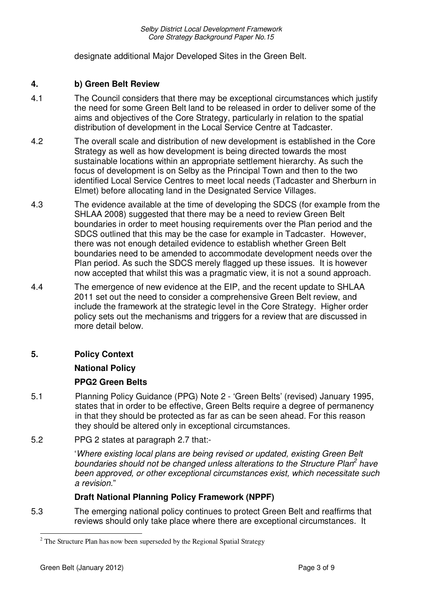designate additional Major Developed Sites in the Green Belt.

### **4. b) Green Belt Review**

- 4.1 The Council considers that there may be exceptional circumstances which justify the need for some Green Belt land to be released in order to deliver some of the aims and objectives of the Core Strategy, particularly in relation to the spatial distribution of development in the Local Service Centre at Tadcaster.
- 4.2 The overall scale and distribution of new development is established in the Core Strategy as well as how development is being directed towards the most sustainable locations within an appropriate settlement hierarchy. As such the focus of development is on Selby as the Principal Town and then to the two identified Local Service Centres to meet local needs (Tadcaster and Sherburn in Elmet) before allocating land in the Designated Service Villages.
- 4.3 The evidence available at the time of developing the SDCS (for example from the SHLAA 2008) suggested that there may be a need to review Green Belt boundaries in order to meet housing requirements over the Plan period and the SDCS outlined that this may be the case for example in Tadcaster. However, there was not enough detailed evidence to establish whether Green Belt boundaries need to be amended to accommodate development needs over the Plan period. As such the SDCS merely flagged up these issues. It is however now accepted that whilst this was a pragmatic view, it is not a sound approach.
- 4.4 The emergence of new evidence at the EIP, and the recent update to SHLAA 2011 set out the need to consider a comprehensive Green Belt review, and include the framework at the strategic level in the Core Strategy. Higher order policy sets out the mechanisms and triggers for a review that are discussed in more detail below.

# **5. Policy Context**

**National Policy**

### **PPG2 Green Belts**

- 5.1 Planning Policy Guidance (PPG) Note 2 'Green Belts' (revised) January 1995, states that in order to be effective, Green Belts require a degree of permanency in that they should be protected as far as can be seen ahead. For this reason they should be altered only in exceptional circumstances.
- 5.2 PPG 2 states at paragraph 2.7 that:-

'*Where existing local plans are being revised or updated, existing Green Belt boundaries should not be changed unless alterations to the Structure Plan 2 have been approved, or other exceptional circumstances exist, which necessitate such a revision*."

# **Draft National Planning Policy Framework (NPPF)**

5.3 The emerging national policy continues to protect Green Belt and reaffirms that reviews should only take place where there are exceptional circumstances. It

 $2^2$  The Structure Plan has now been superseded by the Regional Spatial Strategy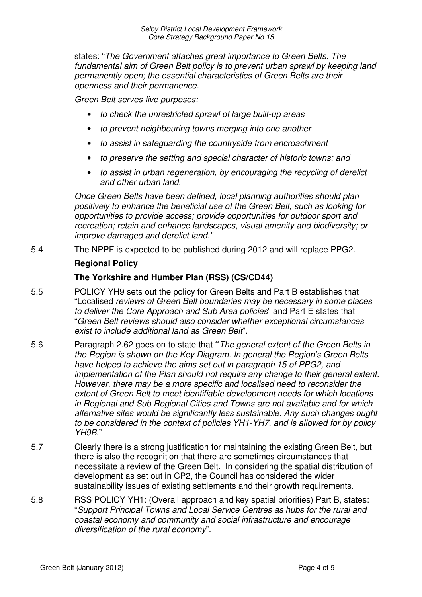states: "*The Government attaches great importance to Green Belts. The fundamental aim of Green Belt policy is to prevent urban sprawl by keeping land permanently open; the essential characteristics of Green Belts are their openness and their permanence.*

*Green Belt serves five purposes:*

- *to check the unrestricted sprawl of large built-up areas*
- *to prevent neighbouring towns merging into one another*
- *to assist in safeguarding the countryside from encroachment*
- *to preserve the setting and special character of historic towns; and*
- *to assist in urban regeneration, by encouraging the recycling of derelict and other urban land.*

*Once Green Belts have been defined, local planning authorities should plan positively to enhance the beneficial use of the Green Belt, such as looking for opportunities to provide access; provide opportunities for outdoor sport and recreation; retain and enhance landscapes, visual amenity and biodiversity; or improve damaged and derelict land."*

5.4 The NPPF is expected to be published during 2012 and will replace PPG2.

#### **Regional Policy**

### **The Yorkshire and Humber Plan (RSS) (CS/CD44)**

- 5.5 POLICY YH9 sets out the policy for Green Belts and Part B establishes that "Localised *reviews of Green Belt boundaries may be necessary in some places to deliver the Core Approach and Sub Area policies*" and Part E states that "*Green Belt reviews should also consider whether exceptional circumstances exist to include additional land as Green Belt*".
- 5.6 Paragraph 2.62 goes on to state that **"***The general extent of the Green Belts in the Region is shown on the Key Diagram. In general the Region's Green Belts have helped to achieve the aims set out in paragraph 15 of PPG2, and implementation of the Plan should not require any change to their general extent. However, there may be a more specific and localised need to reconsider the extent of Green Belt to meet identifiable development needs for which locations in Regional and Sub Regional Cities and Towns are not available and for which alternative sites would be significantly less sustainable. Any such changes ought to be considered in the context of policies YH1-YH7, and is allowed for by policy YH9B*."
- 5.7 Clearly there is a strong justification for maintaining the existing Green Belt, but there is also the recognition that there are sometimes circumstances that necessitate a review of the Green Belt. In considering the spatial distribution of development as set out in CP2, the Council has considered the wider sustainability issues of existing settlements and their growth requirements.
- 5.8 RSS POLICY YH1: (Overall approach and key spatial priorities) Part B, states: "*Support Principal Towns and Local Service Centres as hubs for the rural and coastal economy and community and social infrastructure and encourage diversification of the rural economy*".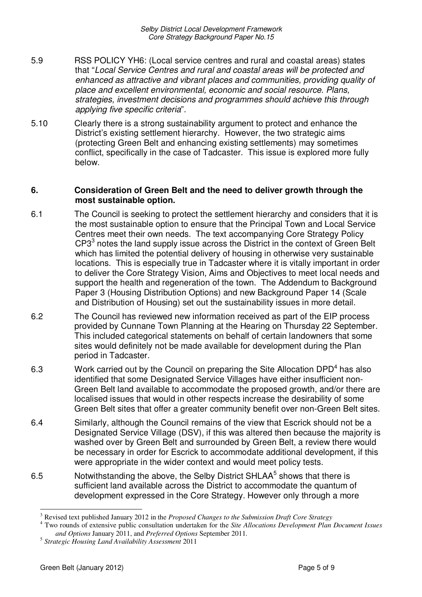*Selby District Local Development Framework Core Strategy Background Paper No.15*

- 5.9 RSS POLICY YH6: (Local service centres and rural and coastal areas) states that "*Local Service Centres and rural and coastal areas will be protected and enhanced as attractive and vibrant places and communities, providing quality of place and excellent environmental, economic and social resource. Plans, strategies, investment decisions and programmes should achieve this through applying five specific criteria*".
- 5.10 Clearly there is a strong sustainability argument to protect and enhance the District's existing settlement hierarchy. However, the two strategic aims (protecting Green Belt and enhancing existing settlements) may sometimes conflict, specifically in the case of Tadcaster. This issue is explored more fully below.

#### **6. Consideration of Green Belt and the need to deliver growth through the most sustainable option.**

- 6.1 The Council is seeking to protect the settlement hierarchy and considers that it is the most sustainable option to ensure that the Principal Town and Local Service Centres meet their own needs. The text accompanying Core Strategy Policy  $CP3<sup>3</sup>$  notes the land supply issue across the District in the context of Green Belt which has limited the potential delivery of housing in otherwise very sustainable locations. This is especially true in Tadcaster where it is vitally important in order to deliver the Core Strategy Vision, Aims and Objectives to meet local needs and support the health and regeneration of the town. The Addendum to Background Paper 3 (Housing Distribution Options) and new Background Paper 14 (Scale and Distribution of Housing) set out the sustainability issues in more detail.
- 6.2 The Council has reviewed new information received as part of the EIP process provided by Cunnane Town Planning at the Hearing on Thursday 22 September. This included categorical statements on behalf of certain landowners that some sites would definitely not be made available for development during the Plan period in Tadcaster.
- 6.3 Work carried out by the Council on preparing the Site Allocation DPD<sup>4</sup> has also identified that some Designated Service Villages have either insufficient non-Green Belt land available to accommodate the proposed growth, and/or there are localised issues that would in other respects increase the desirability of some Green Belt sites that offer a greater community benefit over non-Green Belt sites.
- 6.4 Similarly, although the Council remains of the view that Escrick should not be a Designated Service Village (DSV), if this was altered then because the majority is washed over by Green Belt and surrounded by Green Belt, a review there would be necessary in order for Escrick to accommodate additional development, if this were appropriate in the wider context and would meet policy tests.
- 6.5 Motwithstanding the above, the Selby District SHLAA<sup>5</sup> shows that there is sufficient land available across the District to accommodate the quantum of development expressed in the Core Strategy. However only through a more

<sup>3</sup> Revised text published January 2012 in the *Proposed Changes to the Submission Draft Core Strategy*

<sup>4</sup> Two rounds of extensive public consultation undertaken for the *Site Allocations Development Plan Document Issues and Options* January 2011, and *Preferred Options* September 2011.

<sup>5</sup> *Strategic Housing Land Availability Assessment* 2011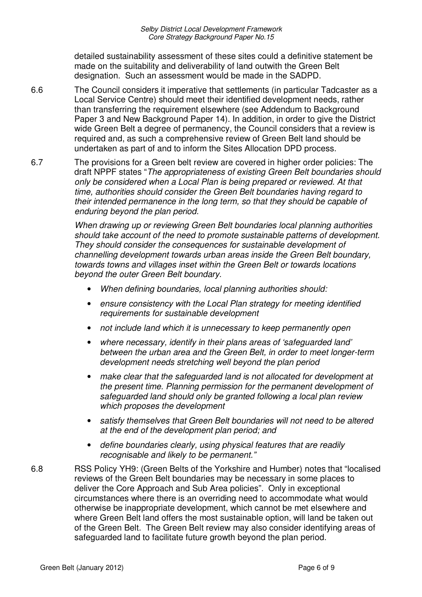detailed sustainability assessment of these sites could a definitive statement be made on the suitability and deliverability of land outwith the Green Belt designation. Such an assessment would be made in the SADPD.

6.6 The Council considers it imperative that settlements (in particular Tadcaster as a Local Service Centre) should meet their identified development needs, rather than transferring the requirement elsewhere (see Addendum to Background Paper 3 and New Background Paper 14). In addition, in order to give the District wide Green Belt a degree of permanency, the Council considers that a review is required and, as such a comprehensive review of Green Belt land should be undertaken as part of and to inform the Sites Allocation DPD process.

6.7 The provisions for a Green belt review are covered in higher order policies: The draft NPPF states "*The appropriateness of existing Green Belt boundaries should only be considered when a Local Plan is being prepared or reviewed. At that time, authorities should consider the Green Belt boundaries having regard to their intended permanence in the long term, so that they should be capable of enduring beyond the plan period.*

> *When drawing up or reviewing Green Belt boundaries local planning authorities should take account of the need to promote sustainable patterns of development. They should consider the consequences for sustainable development of channelling development towards urban areas inside the Green Belt boundary, towards towns and villages inset within the Green Belt or towards locations beyond the outer Green Belt boundary.*

- *When defining boundaries, local planning authorities should:*
- *ensure consistency with the Local Plan strategy for meeting identified requirements for sustainable development*
- *not include land which it is unnecessary to keep permanently open*
- *where necessary, identify in their plans areas of 'safeguarded land' between the urban area and the Green Belt, in order to meet longer-term development needs stretching well beyond the plan period*
- *make clear that the safeguarded land is not allocated for development at the present time. Planning permission for the permanent development of safeguarded land should only be granted following a local plan review which proposes the development*
- *satisfy themselves that Green Belt boundaries will not need to be altered at the end of the development plan period; and*
- *define boundaries clearly, using physical features that are readily recognisable and likely to be permanent."*
- 6.8 RSS Policy YH9: (Green Belts of the Yorkshire and Humber) notes that "localised reviews of the Green Belt boundaries may be necessary in some places to deliver the Core Approach and Sub Area policies". Only in exceptional circumstances where there is an overriding need to accommodate what would otherwise be inappropriate development, which cannot be met elsewhere and where Green Belt land offers the most sustainable option, will land be taken out of the Green Belt. The Green Belt review may also consider identifying areas of safeguarded land to facilitate future growth beyond the plan period.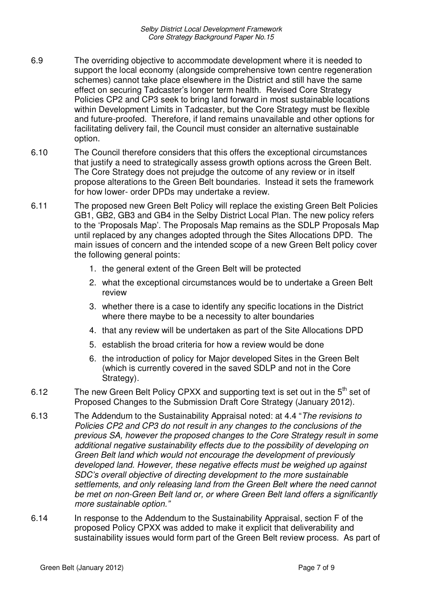- 6.9 The overriding objective to accommodate development where it is needed to support the local economy (alongside comprehensive town centre regeneration schemes) cannot take place elsewhere in the District and still have the same effect on securing Tadcaster's longer term health. Revised Core Strategy Policies CP2 and CP3 seek to bring land forward in most sustainable locations within Development Limits in Tadcaster, but the Core Strategy must be flexible and future-proofed. Therefore, if land remains unavailable and other options for facilitating delivery fail, the Council must consider an alternative sustainable option.
- 6.10 The Council therefore considers that this offers the exceptional circumstances that justify a need to strategically assess growth options across the Green Belt. The Core Strategy does not prejudge the outcome of any review or in itself propose alterations to the Green Belt boundaries. Instead it sets the framework for how lower- order DPDs may undertake a review.
- 6.11 The proposed new Green Belt Policy will replace the existing Green Belt Policies GB1, GB2, GB3 and GB4 in the Selby District Local Plan. The new policy refers to the 'Proposals Map'. The Proposals Map remains as the SDLP Proposals Map until replaced by any changes adopted through the Sites Allocations DPD. The main issues of concern and the intended scope of a new Green Belt policy cover the following general points:
	- 1. the general extent of the Green Belt will be protected
	- 2. what the exceptional circumstances would be to undertake a Green Belt review
	- 3. whether there is a case to identify any specific locations in the District where there maybe to be a necessity to alter boundaries
	- 4. that any review will be undertaken as part of the Site Allocations DPD
	- 5. establish the broad criteria for how a review would be done
	- 6. the introduction of policy for Major developed Sites in the Green Belt (which is currently covered in the saved SDLP and not in the Core Strategy).
- 6.12 The new Green Belt Policy CPXX and supporting text is set out in the  $5<sup>th</sup>$  set of Proposed Changes to the Submission Draft Core Strategy (January 2012).
- 6.13 The Addendum to the Sustainability Appraisal noted: at 4.4 "*The revisions to Policies CP2 and CP3 do not result in any changes to the conclusions of the previous SA, however the proposed changes to the Core Strategy result in some additional negative sustainability effects due to the possibility of developing on Green Belt land which would not encourage the development of previously developed land. However, these negative effects must be weighed up against SDC's overall objective of directing development to the more sustainable settlements, and only releasing land from the Green Belt where the need cannot be met on non-Green Belt land or, or where Green Belt land offers a significantly more sustainable option."*
- 6.14 In response to the Addendum to the Sustainability Appraisal, section F of the proposed Policy CPXX was added to make it explicit that deliverability and sustainability issues would form part of the Green Belt review process. As part of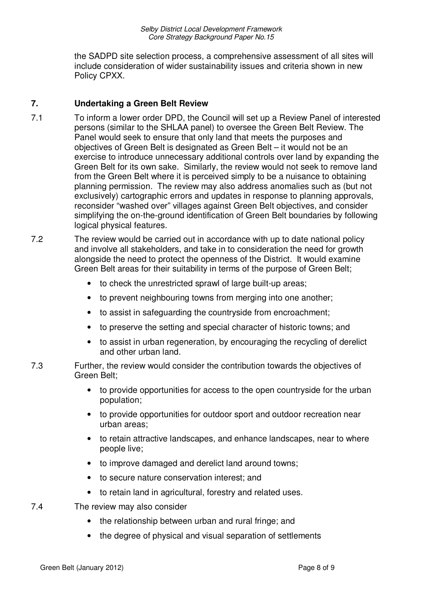the SADPD site selection process, a comprehensive assessment of all sites will include consideration of wider sustainability issues and criteria shown in new Policy CPXX.

# **7. Undertaking a Green Belt Review**

- 7.1 To inform a lower order DPD, the Council will set up a Review Panel of interested persons (similar to the SHLAA panel) to oversee the Green Belt Review. The Panel would seek to ensure that only land that meets the purposes and objectives of Green Belt is designated as Green Belt – it would not be an exercise to introduce unnecessary additional controls over land by expanding the Green Belt for its own sake. Similarly, the review would not seek to remove land from the Green Belt where it is perceived simply to be a nuisance to obtaining planning permission. The review may also address anomalies such as (but not exclusively) cartographic errors and updates in response to planning approvals, reconsider "washed over" villages against Green Belt objectives, and consider simplifying the on-the-ground identification of Green Belt boundaries by following logical physical features.
- 7.2 The review would be carried out in accordance with up to date national policy and involve all stakeholders, and take in to consideration the need for growth alongside the need to protect the openness of the District. It would examine Green Belt areas for their suitability in terms of the purpose of Green Belt;
	- to check the unrestricted sprawl of large built-up areas;
	- to prevent neighbouring towns from merging into one another;
	- to assist in safeguarding the countryside from encroachment;
	- to preserve the setting and special character of historic towns; and
	- to assist in urban regeneration, by encouraging the recycling of derelict and other urban land.
- 7.3 Further, the review would consider the contribution towards the objectives of Green Belt;
	- to provide opportunities for access to the open countryside for the urban population;
	- to provide opportunities for outdoor sport and outdoor recreation near urban areas;
	- to retain attractive landscapes, and enhance landscapes, near to where people live;
	- to improve damaged and derelict land around towns;
	- to secure nature conservation interest; and
	- to retain land in agricultural, forestry and related uses.
- 7.4 The review may also consider
	- the relationship between urban and rural fringe; and
	- the degree of physical and visual separation of settlements